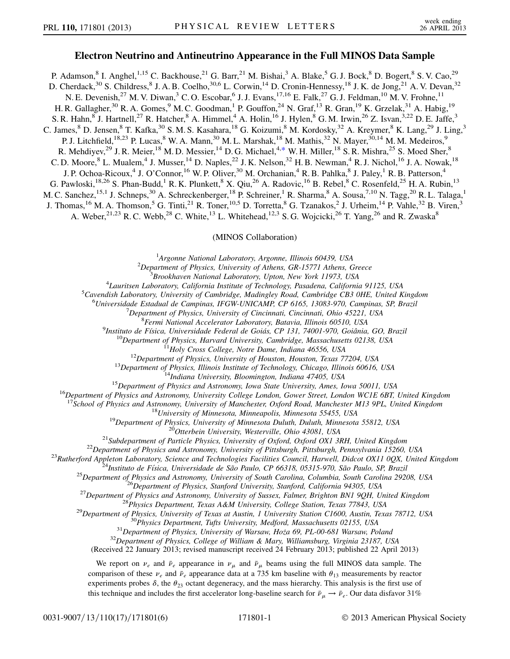## Electron Neutrino and Antineutrino Appearance in the Full MINOS Data Sample

<span id="page-0-0"></span>P. Adamson,<sup>8</sup> I. Anghel,<sup>1,15</sup> C. Backhouse,<sup>21</sup> G. Barr,<sup>21</sup> M. Bishai,<sup>3</sup> A. Blake,<sup>5</sup> G. J. Bock,<sup>8</sup> D. Bogert,<sup>8</sup> S. V. Cao,<sup>29</sup> D. Cherdack,<sup>30</sup> S. Childress, <sup>8</sup> J. A. B. Coelho, <sup>30,6</sup> L. Corwin, <sup>14</sup> D. Cronin-Hennessy, <sup>18</sup> J. K. de Jong, <sup>21</sup> A. V. Devan, <sup>32</sup> N. E. Devenish,<sup>27</sup> M. V. Diwan,<sup>3</sup> C. O. Escobar,<sup>6</sup> J. J. Evans,<sup>17,16</sup> E. Falk,<sup>27</sup> G. J. Feldman,<sup>10</sup> M. V. Frohne,<sup>11</sup> H. R. Gallagher,<sup>30</sup> R. A. Gomes,<sup>9</sup> M. C. Goodman,<sup>1</sup> P. Gouffon,<sup>24</sup> N. Graf,<sup>13</sup> R. Gran,<sup>19</sup> K. Grzelak,<sup>31</sup> A. Habig,<sup>19</sup> S. R. Hahn, <sup>8</sup> J. Hartnell, <sup>27</sup> R. Hatcher, <sup>8</sup> A. Himmel, <sup>4</sup> A. Holin, <sup>16</sup> J. Hylen, <sup>8</sup> G. M. Irwin, <sup>26</sup> Z. Isvan, <sup>3,22</sup> D. E. Jaffe, <sup>3</sup> C. James, <sup>8</sup> D. Jensen, <sup>8</sup> T. Kafka, <sup>30</sup> S. M. S. Kasahara, <sup>18</sup> G. Koizumi, <sup>8</sup> M. Kordosky, <sup>32</sup> A. Kreymer, <sup>8</sup> K. Lang, <sup>29</sup> J. Ling, <sup>3</sup> P. J. Litchfield,<sup>18,23</sup> P. Lucas, <sup>8</sup> W. A. Mann, <sup>30</sup> M. L. Marshak, <sup>18</sup> M. Mathis, <sup>32</sup> N. Mayer, <sup>30,14</sup> M. M. Medeiros, <sup>9</sup> R. Mehdiyev,<sup>29</sup> J. R. Meier,<sup>18</sup> M. D. Messier,<sup>14</sup> D. G. Michael,<sup>4,[\\*](#page-4-0)</sup> W. H. Miller,<sup>18</sup> S. R. Mishra,<sup>25</sup> S. Moed Sher,<sup>8</sup> C. D. Moore, <sup>8</sup> L. Mualem, <sup>4</sup> J. Musser, <sup>14</sup> D. Naples, <sup>22</sup> J. K. Nelson, <sup>32</sup> H. B. Newman, <sup>4</sup> R. J. Nichol, <sup>16</sup> J. A. Nowak, <sup>18</sup> J. P. Ochoa-Ricoux,<sup>4</sup> J. O'Connor,<sup>16</sup> W. P. Oliver,<sup>30</sup> M. Orchanian,<sup>4</sup> R. B. Pahlka,<sup>8</sup> J. Paley,<sup>1</sup> R. B. Patterson,<sup>4</sup> G. Pawloski,<sup>18,26</sup> S. Phan-Budd,<sup>1</sup> R. K. Plunkett,<sup>8</sup> X. Qiu,<sup>26</sup> A. Radovic,<sup>16</sup> B. Rebel,<sup>8</sup> C. Rosenfeld,<sup>25</sup> H. A. Rubin,<sup>13</sup> M. C. Sanchez, <sup>15,1</sup> J. Schneps, <sup>30</sup> A. Schreckenberger, <sup>18</sup> P. Schreiner, <sup>1</sup> R. Sharma, <sup>8</sup> A. Sousa, <sup>7,10</sup> N. Tagg, <sup>20</sup> R. L. Talaga, <sup>1</sup> J. Thomas, <sup>16</sup> M. A. Thomson, <sup>5</sup> G. Tinti, <sup>21</sup> R. Toner, <sup>10,5</sup> D. Torretta, <sup>8</sup> G. Tzanakos, <sup>2</sup> J. Urheim, <sup>14</sup> P. Vahle, <sup>32</sup> B. Viren, <sup>3</sup> A. Weber,  $2^{1,23}$  R. C. Webb,  $2^8$  C. White,  $1^3$  L. Whitehead,  $1^{2,3}$  S. G. Wojcicki,  $2^6$  T. Yang,  $2^6$  and R. Zwaska $8$ 

## (MINOS Collaboration)

<sup>1</sup>Argonne National Laboratory, Argonne, Illinois 60439, USA<br><sup>2</sup>Department of Physics, University of Athens, CP, 15771, Athens, C

<sup>2</sup>Department of Physics, University of Athens, GR-15771 Athens, Greece  $3B$ rookhaven National Laboratory, Upton, New York 11973, USA

 ${}^{3}$ Brookhaven National Laboratory, Upton, New York 11973, USA  ${}^{4}I$ auriteen Laboratory, California Institute of Technology, Pasadena, California

<sup>4</sup> Lauritsen Laboratory, California Institute of Technology, Pasadena, California 91125, USA<br><sup>5</sup> Cavandish Laboratory, University of Cambridge, Madinalay Road, Cambridge CB3 0HF, United K

 ${}^{5}$ Cavendish Laboratory, University of Cambridge, Madingley Road, Cambridge CB3 0HE, United Kingdom

<sup>6</sup>Universidade Estadual de Campinas, IFGW-UNICAMP, CP 6165, 13083-970, Campinas, SP, Brazil

 $^{7}$ Department of Physics, University of Cincinnati, Cincinnati, Ohio 45221, USA

Fermi National Accelerator Laboratory, Batavia, Illinois 60510, USA<br><sup>9</sup>Instituto de Física, Universidade Federal de Goiás, CP 131, 74001-970, Goiânia, GO, Brazil

<sup>10</sup>Department of Physics, Harvard University, Cambridge, Massachusetts 02138, USA<br><sup>11</sup>Holy Cross College, Notre Dame, Indiana 46556, USA<br><sup>12</sup>Department of Physics, University of Houston, Houston, Texas 77204, USA<br><sup>13</sup>Dep

<sup>17</sup>School of Physics and Astronomy, University of Manchester, Oxford Road, Manchester M13 9PL, United Kingdom<br><sup>18</sup>School <sup>18</sup>University of Minnesota Duluth, Duluth, Minnesota 55425, USA<br><sup>21</sup>Subdepartment of Physics, Univ

(Received 22 January 2013; revised manuscript received 24 February 2013; published 22 April 2013)

We report on  $v_e$  and  $\bar{v}_e$  appearance in  $v_\mu$  and  $\bar{v}_\mu$  beams using the full MINOS data sample. The comparison of these  $v_e$  and  $\bar{v}_e$  appearance data at a 735 km baseline with  $\theta_{13}$  measurements by reactor experiments probes  $\delta$ , the  $\theta_{23}$  octant degeneracy, and the mass hierarchy. This analysis is the first use of this technique and includes the first accelerator long-baseline search for  $\bar{\nu}_{\mu} \to \bar{\nu}_e$ . Our data disfavor 31%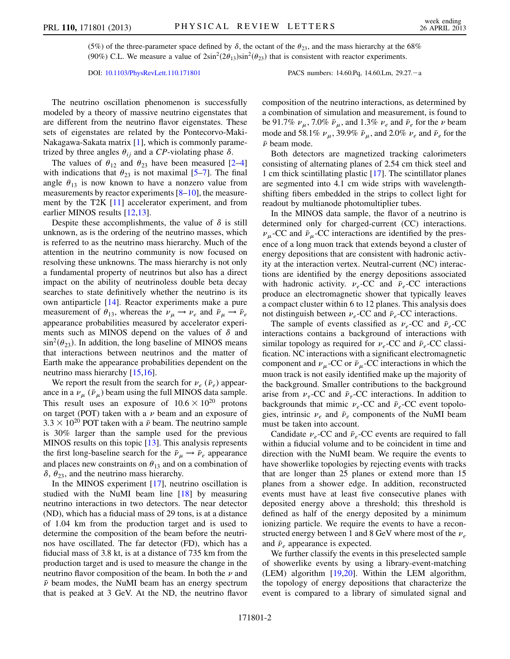(5%) of the three-parameter space defined by  $\delta$ , the octant of the  $\theta_{23}$ , and the mass hierarchy at the 68% (90%) C.L. We measure a value of  $2\sin^2(2\theta_{13})\sin^2(\theta_{23})$  that is consistent with reactor experiments.

DOI: [10.1103/PhysRevLett.110.171801](http://dx.doi.org/10.1103/PhysRevLett.110.171801) PACS numbers: 14.60.Pq, 14.60.Lm, 29.27.-a

The neutrino oscillation phenomenon is successfully modeled by a theory of massive neutrino eigenstates that are different from the neutrino flavor eigenstates. These sets of eigenstates are related by the Pontecorvo-Maki-Nakagawa-Sakata matrix [[1\]](#page-4-1), which is commonly parametrized by three angles  $\theta_{ij}$  and a CP-violating phase  $\delta$ .

The values of  $\theta_{12}$  $\theta_{12}$  $\theta_{12}$  and  $\theta_{23}$  have been measured [2[–4\]](#page-4-3) with indications that  $\theta_{23}$  is not maximal [[5](#page-4-4)[–7](#page-4-5)]. The final angle  $\theta_{13}$  is now known to have a nonzero value from measurements by reactor experiments [[8–](#page-4-6)[10\]](#page-4-7), the measurement by the T2K [\[11\]](#page-4-8) accelerator experiment, and from earlier MINOS results [\[12](#page-4-9)[,13\]](#page-4-10).

Despite these accomplishments, the value of  $\delta$  is still unknown, as is the ordering of the neutrino masses, which is referred to as the neutrino mass hierarchy. Much of the attention in the neutrino community is now focused on resolving these unknowns. The mass hierarchy is not only a fundamental property of neutrinos but also has a direct impact on the ability of neutrinoless double beta decay searches to state definitively whether the neutrino is its own antiparticle [\[14\]](#page-4-11). Reactor experiments make a pure measurement of  $\theta_{13}$ , whereas the  $\nu_\mu \rightarrow \nu_e$  and  $\bar{\nu}_\mu \rightarrow \bar{\nu}_e$ appearance probabilities measured by accelerator experiments such as MINOS depend on the values of  $\delta$  and  $\sin^2(\theta_{23})$ . In addition, the long baseline of MINOS means that interactions between neutrinos and the matter of Earth make the appearance probabilities dependent on the neutrino mass hierarchy [\[15,](#page-4-12)[16\]](#page-4-13).

We report the result from the search for  $v_e$  ( $\bar{v}_e$ ) appearance in a  $\nu_{\mu}$  ( $\bar{\nu}_{\mu}$ ) beam using the full MINOS data sample. This result uses an exposure of  $10.6 \times 10^{20}$  protons on target (POT) taken with a  $\nu$  beam and an exposure of  $3.3 \times 10^{20}$  POT taken with a  $\bar{\nu}$  beam. The neutrino sample is 30% larger than the sample used for the previous MINOS results on this topic [\[13\]](#page-4-10). This analysis represents the first long-baseline search for the  $\bar{\nu}_{\mu} \rightarrow \bar{\nu}_{e}$  appearance and places new constraints on  $\theta_{13}$  and on a combination of  $\delta$ ,  $\theta_{23}$ , and the neutrino mass hierarchy.

In the MINOS experiment [\[17\]](#page-5-0), neutrino oscillation is studied with the NuMI beam line [\[18\]](#page-5-1) by measuring neutrino interactions in two detectors. The near detector (ND), which has a fiducial mass of 29 tons, is at a distance of 1.04 km from the production target and is used to determine the composition of the beam before the neutrinos have oscillated. The far detector (FD), which has a fiducial mass of 3.8 kt, is at a distance of 735 km from the production target and is used to measure the change in the neutrino flavor composition of the beam. In both the  $\nu$  and  $\bar{\nu}$  beam modes, the NuMI beam has an energy spectrum that is peaked at 3 GeV. At the ND, the neutrino flavor composition of the neutrino interactions, as determined by a combination of simulation and measurement, is found to be 91.7%  $\nu_{\mu}$ , 7.0%  $\bar{\nu}_{\mu}$ , and 1.3%  $\nu_e$  and  $\bar{\nu}_e$  for the  $\nu$  beam mode and 58.1%  $\nu_{\mu}$ , 39.9%  $\bar{\nu}_{\mu}$ , and 2.0%  $\nu_{e}$  and  $\bar{\nu}_{e}$  for the  $\bar{\nu}$  beam mode.

Both detectors are magnetized tracking calorimeters consisting of alternating planes of 2.54 cm thick steel and 1 cm thick scintillating plastic [[17](#page-5-0)]. The scintillator planes are segmented into 4.1 cm wide strips with wavelengthshifting fibers embedded in the strips to collect light for readout by multianode photomultiplier tubes.

In the MINOS data sample, the flavor of a neutrino is determined only for charged-current (CC) interactions.  $\nu_{\mu}$ -CC and  $\bar{\nu}_{\mu}$ -CC interactions are identified by the presence of a long muon track that extends beyond a cluster of energy depositions that are consistent with hadronic activity at the interaction vertex. Neutral-current (NC) interactions are identified by the energy depositions associated with hadronic activity.  $v_e$ -CC and  $\bar{v}_e$ -CC interactions produce an electromagnetic shower that typically leaves a compact cluster within 6 to 12 planes. This analysis does not distinguish between  $\nu_e$ -CC and  $\bar{\nu}_e$ -CC interactions.

The sample of events classified as  $\nu_e$ -CC and  $\bar{\nu}_e$ -CC interactions contains a background of interactions with similar topology as required for  $\nu_e$ -CC and  $\bar{\nu}_e$ -CC classification. NC interactions with a significant electromagnetic component and  $\nu_{\mu}$ -CC or  $\bar{\nu}_{\mu}$ -CC interactions in which the muon track is not easily identified make up the majority of the background. Smaller contributions to the background arise from  $\nu_{\tau}$ -CC and  $\bar{\nu}_{\tau}$ -CC interactions. In addition to backgrounds that mimic  $\nu_e$ -CC and  $\bar{\nu}_e$ -CC event topologies, intrinsic  $v_e$  and  $\bar{v}_e$  components of the NuMI beam must be taken into account.

Candidate  $\nu_e$ -CC and  $\bar{\nu}_e$ -CC events are required to fall within a fiducial volume and to be coincident in time and direction with the NuMI beam. We require the events to have showerlike topologies by rejecting events with tracks that are longer than 25 planes or extend more than 15 planes from a shower edge. In addition, reconstructed events must have at least five consecutive planes with deposited energy above a threshold; this threshold is defined as half of the energy deposited by a minimum ionizing particle. We require the events to have a reconstructed energy between 1 and 8 GeV where most of the  $v_e$ and  $\bar{\nu}_e$  appearance is expected.

We further classify the events in this preselected sample of showerlike events by using a library-event-matching (LEM) algorithm [[19](#page-5-2)[,20](#page-5-3)]. Within the LEM algorithm, the topology of energy depositions that characterize the event is compared to a library of simulated signal and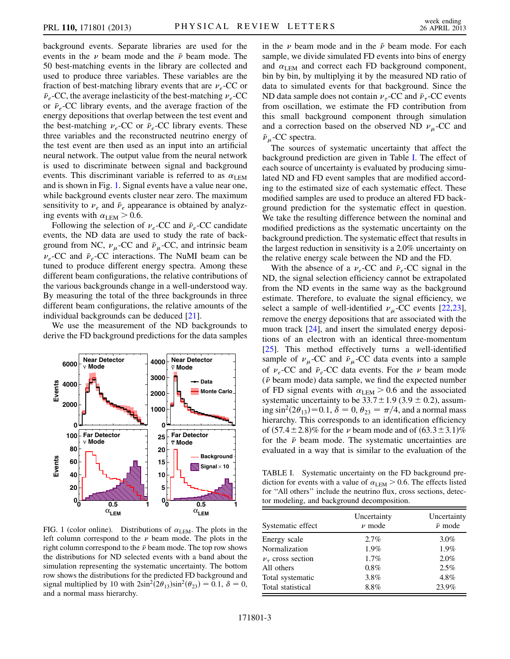background events. Separate libraries are used for the events in the  $\nu$  beam mode and the  $\bar{\nu}$  beam mode. The 50 best-matching events in the library are collected and used to produce three variables. These variables are the fraction of best-matching library events that are  $v_e$ -CC or  $\bar{\nu}_e$ -CC, the average inelasticity of the best-matching  $\nu_e$ -CC or  $\bar{\nu}_e$ -CC library events, and the average fraction of the energy depositions that overlap between the test event and the best-matching  $\nu_e$ -CC or  $\bar{\nu}_e$ -CC library events. These three variables and the reconstructed neutrino energy of the test event are then used as an input into an artificial neural network. The output value from the neural network is used to discriminate between signal and background events. This discriminant variable is referred to as  $\alpha_{\text{LEM}}$ and is shown in Fig. [1.](#page-2-0) Signal events have a value near one, while background events cluster near zero. The maximum sensitivity to  $v_e$  and  $\bar{v}_e$  appearance is obtained by analyzing events with  $\alpha_{\text{LEM}} > 0.6$ .

Following the selection of  $\nu_e$ -CC and  $\bar{\nu}_e$ -CC candidate events, the ND data are used to study the rate of background from NC,  $\nu_{\mu}$ -CC and  $\bar{\nu}_{\mu}$ -CC, and intrinsic beam  $v_e$ -CC and  $\bar{v}_e$ -CC interactions. The NuMI beam can be tuned to produce different energy spectra. Among these different beam configurations, the relative contributions of the various backgrounds change in a well-understood way. By measuring the total of the three backgrounds in three different beam configurations, the relative amounts of the individual backgrounds can be deduced [[21](#page-5-4)].

We use the measurement of the ND backgrounds to derive the FD background predictions for the data samples

<span id="page-2-0"></span>

FIG. 1 (color online). Distributions of  $\alpha_{LEM}$ . The plots in the left column correspond to the  $\nu$  beam mode. The plots in the right column correspond to the  $\bar{\nu}$  beam mode. The top row shows the distributions for ND selected events with a band about the simulation representing the systematic uncertainty. The bottom row shows the distributions for the predicted FD background and signal multiplied by 10 with  $2\sin^2(2\theta_{13})\sin^2(\theta_{23})=0.1$ ,  $\delta=0$ , and a normal mass hierarchy.

in the  $\nu$  beam mode and in the  $\bar{\nu}$  beam mode. For each sample, we divide simulated FD events into bins of energy and  $\alpha_{\text{LEM}}$  and correct each FD background component, bin by bin, by multiplying it by the measured ND ratio of data to simulated events for that background. Since the ND data sample does not contain  $\nu_{\tau}$ -CC and  $\bar{\nu}_{\tau}$ -CC events from oscillation, we estimate the FD contribution from this small background component through simulation and a correction based on the observed ND  $\nu_{\mu}$ -CC and  $\bar{\nu}_{\mu}$ -CC spectra.

The sources of systematic uncertainty that affect the background prediction are given in Table [I](#page-2-1). The effect of each source of uncertainty is evaluated by producing simulated ND and FD event samples that are modified according to the estimated size of each systematic effect. These modified samples are used to produce an altered FD background prediction for the systematic effect in question. We take the resulting difference between the nominal and modified predictions as the systematic uncertainty on the background prediction. The systematic effect that results in the largest reduction in sensitivity is a 2.0% uncertainty on the relative energy scale between the ND and the FD.

With the absence of a  $\nu_e$ -CC and  $\bar{\nu}_e$ -CC signal in the ND, the signal selection efficiency cannot be extrapolated from the ND events in the same way as the background estimate. Therefore, to evaluate the signal efficiency, we select a sample of well-identified  $\nu_{\mu}$ -CC events [\[22,](#page-5-5)[23\]](#page-5-6), remove the energy depositions that are associated with the muon track [[24\]](#page-5-7), and insert the simulated energy depositions of an electron with an identical three-momentum [\[25\]](#page-5-8). This method effectively turns a well-identified sample of  $\nu_{\mu}$ -CC and  $\bar{\nu}_{\mu}$ -CC data events into a sample of  $\nu_e$ -CC and  $\bar{\nu}_e$ -CC data events. For the  $\nu$  beam mode  $(\bar{\nu}$  beam mode) data sample, we find the expected number of FD signal events with  $\alpha_{\text{LEM}} > 0.6$  and the associated systematic uncertainty to be  $33.7 \pm 1.9$  (3.9  $\pm$  0.2), assuming  $\sin^2(2\theta_{13})=0.1$ ,  $\delta=0$ ,  $\theta_{23}=\pi/4$ , and a normal mass hierarchy. This corresponds to an identification efficiency of  $(57.4 \pm 2.8)\%$  for the  $\nu$  beam mode and of  $(63.3 \pm 3.1)\%$ for the  $\bar{\nu}$  beam mode. The systematic uncertainties are evaluated in a way that is similar to the evaluation of the

<span id="page-2-1"></span>TABLE I. Systematic uncertainty on the FD background prediction for events with a value of  $\alpha_{\text{LEM}} > 0.6$ . The effects listed for ''All others'' include the neutrino flux, cross sections, detector modeling, and background decomposition.

| Systematic effect          | Uncertainty<br>$\nu$ mode | Uncertainty<br>$\bar{\nu}$ mode |
|----------------------------|---------------------------|---------------------------------|
| Energy scale               | 2.7%                      | $3.0\%$                         |
| Normalization              | $1.9\%$                   | $1.9\%$                         |
| $\nu_{\tau}$ cross section | $1.7\%$                   | 2.0%                            |
| All others                 | $0.8\%$                   | 2.5%                            |
| Total systematic           | 3.8%                      | $4.8\%$                         |
| Total statistical          | 8.8%                      | 23.9%                           |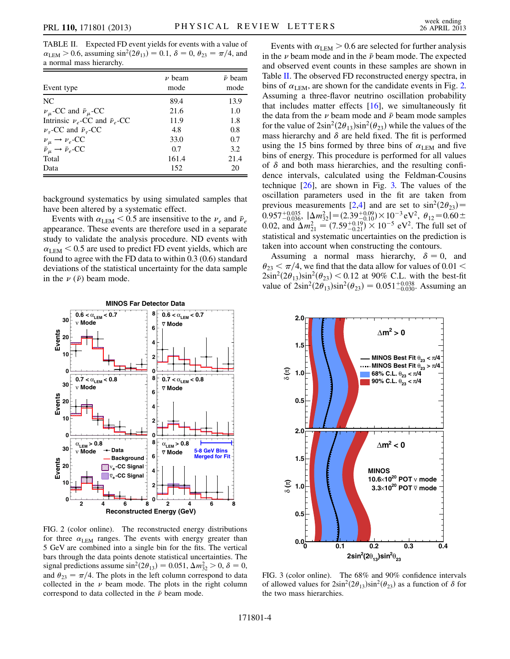<span id="page-3-0"></span>TABLE II. Expected FD event yields for events with a value of  $\alpha_{\text{LEM}} > 0.6$ , assuming  $\sin^2(2\theta_{13}) = 0.1$ ,  $\delta = 0$ ,  $\theta_{23} = \pi/4$ , and a normal mass hierarchy.

| Event type                                                                             | $\nu$ beam<br>mode | $\bar{\nu}$ beam<br>mode |
|----------------------------------------------------------------------------------------|--------------------|--------------------------|
| NC.                                                                                    | 89.4               | 13.9                     |
| $\nu_{\mu}$ -CC and $\bar{\nu}_{\mu}$ -CC                                              | 21.6               | 1.0                      |
| Intrinsic $\nu_e$ -CC and $\bar{\nu}_e$ -CC                                            | 11.9               | 1.8                      |
| $\nu_{\tau}$ -CC and $\bar{\nu}_{\tau}$ -CC                                            | 4.8                | 0.8                      |
|                                                                                        | 33.0               | 0.7                      |
| $\nu_{\mu} \rightarrow \nu_{e}$ -CC<br>$\bar{\nu}_{\mu} \rightarrow \bar{\nu}_{e}$ -CC | 0.7                | 3.2                      |
| Total                                                                                  | 161.4              | 21.4                     |
| Data                                                                                   | 152                | 20                       |

background systematics by using simulated samples that have been altered by a systematic effect.

Events with  $\alpha_{\text{LEM}}$  < 0.5 are insensitive to the  $\nu_e$  and  $\bar{\nu}_e$ appearance. These events are therefore used in a separate study to validate the analysis procedure. ND events with  $\alpha_{\text{LEM}}$  < 0.5 are used to predict FD event yields, which are found to agree with the FD data to within 0.3 (0.6) standard deviations of the statistical uncertainty for the data sample in the  $\nu(\bar{\nu})$  beam mode.

<span id="page-3-1"></span>

FIG. 2 (color online). The reconstructed energy distributions for three  $\alpha_{\text{LEM}}$  ranges. The events with energy greater than 5 GeV are combined into a single bin for the fits. The vertical bars through the data points denote statistical uncertainties. The signal predictions assume  $\sin^2(2\theta_{13}) = 0.051, \Delta m_{32}^2 > 0, \delta = 0,$ and  $\theta_{23} = \pi/4$ . The plots in the left column correspond to data collected in the  $\nu$  beam mode. The plots in the right column correspond to data collected in the  $\bar{\nu}$  beam mode.

Events with  $\alpha_{\text{LEM}} > 0.6$  are selected for further analysis in the  $\nu$  beam mode and in the  $\bar{\nu}$  beam mode. The expected and observed event counts in these samples are shown in Table [II.](#page-3-0) The observed FD reconstructed energy spectra, in bins of  $\alpha_{\text{LEM}}$ , are shown for the candidate events in Fig. [2.](#page-3-1) Assuming a three-flavor neutrino oscillation probability that includes matter effects  $[16]$  $[16]$  $[16]$ , we simultaneously fit the data from the  $\nu$  beam mode and  $\bar{\nu}$  beam mode samples for the value of  $2\sin^2(2\theta_{13})\sin^2(\theta_{23})$  while the values of the mass hierarchy and  $\delta$  are held fixed. The fit is performed using the 15 bins formed by three bins of  $\alpha_{\text{LEM}}$  and five bins of energy. This procedure is performed for all values of  $\delta$  and both mass hierarchies, and the resulting confidence intervals, calculated using the Feldman-Cousins technique  $[26]$ , are shown in Fig. [3.](#page-3-2) The values of the oscillation parameters used in the fit are taken from previous measurements [[2,](#page-4-2)[4\]](#page-4-3) and are set to  $\sin^2(2\theta_{23})$  =  $0.957^{+0.035}_{-0.036}$ ,  $|\Delta m_{32}^2| = (2.39^{+0.09}_{-0.01}) \times 10^{-3} \text{ eV}^2$ ,  $\theta_{12} = 0.60 \pm 0.036$ ,  $\theta_{12} = 0.036$ 0.02, and  $\Delta m_{21}^2 = (7.59_{-0.21}^{+0.19}) \times 10^{-5}$  eV<sup>2</sup>. The full set of statistical and systematic uncertainties on the prediction is taken into account when constructing the contours.

Assuming a normal mass hierarchy,  $\delta = 0$ , and  $\theta_{23} < \pi/4$ , we find that the data allow for values of 0.01  $<$  $2\sin^2(2\theta_{13})\sin^2(\theta_{23})$  < 0.12 at 90% C.L. with the best-fit value of  $2\sin^2(2\theta_{13})\sin^2(\theta_{23}) = 0.051^{+0.038}_{-0.030}$ . Assuming an

<span id="page-3-2"></span>

FIG. 3 (color online). The 68% and 90% confidence intervals of allowed values for  $2\sin^2(2\theta_{13})\sin^2(\theta_{23})$  as a function of  $\delta$  for the two mass hierarchies.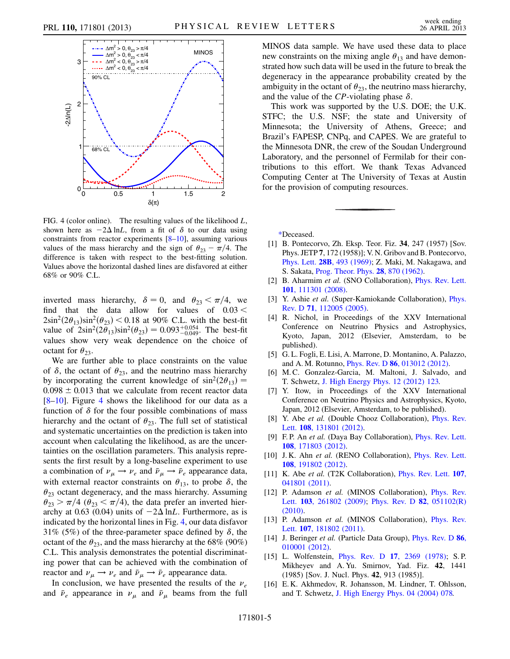<span id="page-4-14"></span>

FIG. 4 (color online). The resulting values of the likelihood  $L$ , shown here as  $-2\Delta \ln L$ , from a fit of  $\delta$  to our data using constraints from reactor experiments [[8–](#page-4-6)[10\]](#page-4-7), assuming various values of the mass hierarchy and the sign of  $\theta_{23} = \pi/4$ . The difference is taken with respect to the best-fitting solution. Values above the horizontal dashed lines are disfavored at either 68% or 90% C.L.

inverted mass hierarchy,  $\delta = 0$ , and  $\theta_{23} < \pi/4$ , we find that the data allow for values of  $0.03 <$  $2\sin^2(2\theta_{13})\sin^2(\theta_{23})$  < 0.18 at 90% C.L. with the best-fit value of  $2\sin^2(2\theta_{13})\sin^2(\theta_{23}) = 0.093^{+0.054}_{-0.049}$ . The best-fit values show very weak dependence on the choice of octant for  $\theta_{23}$ .

We are further able to place constraints on the value of  $\delta$ , the octant of  $\theta_{23}$ , and the neutrino mass hierarchy by incorporating the current knowledge of  $sin^2(2\theta_{13})$  =  $0.098 \pm 0.013$  that we calculate from recent reactor data [\[8–](#page-4-6)[10](#page-4-7)]. Figure [4](#page-4-14) shows the likelihood for our data as a function of  $\delta$  for the four possible combinations of mass hierarchy and the octant of  $\theta_{23}$ . The full set of statistical and systematic uncertainties on the prediction is taken into account when calculating the likelihood, as are the uncertainties on the oscillation parameters. This analysis represents the first result by a long-baseline experiment to use a combination of  $\nu_{\mu} \rightarrow \nu_{e}$  and  $\bar{\nu}_{\mu} \rightarrow \bar{\nu}_{e}$  appearance data, with external reactor constraints on  $\theta_{13}$ , to probe  $\delta$ , the  $\theta_{23}$  octant degeneracy, and the mass hierarchy. Assuming  $\theta_{23} > \pi/4$  ( $\theta_{23} < \pi/4$ ), the data prefer an inverted hierarchy at 0.63 (0.04) units of  $-2\Delta$  lnL. Furthermore, as is indicated by the horizontal lines in Fig. [4](#page-4-14), our data disfavor 31% (5%) of the three-parameter space defined by  $\delta$ , the octant of the  $\theta_{23}$ , and the mass hierarchy at the 68% (90%) C.L. This analysis demonstrates the potential discriminating power that can be achieved with the combination of reactor and  $\nu_{\mu} \rightarrow \nu_{e}$  and  $\bar{\nu}_{\mu} \rightarrow \bar{\nu}_{e}$  appearance data.

In conclusion, we have presented the results of the  $v_e$ and  $\bar{\nu}_e$  appearance in  $\nu_\mu$  and  $\bar{\nu}_\mu$  beams from the full MINOS data sample. We have used these data to place new constraints on the mixing angle  $\theta_{13}$  and have demonstrated how such data will be used in the future to break the degeneracy in the appearance probability created by the ambiguity in the octant of  $\theta_{23}$ , the neutrino mass hierarchy, and the value of the CP-violating phase  $\delta$ .

This work was supported by the U.S. DOE; the U.K. STFC; the U.S. NSF; the state and University of Minnesota; the University of Athens, Greece; and Brazil's FAPESP, CNPq, and CAPES. We are grateful to the Minnesota DNR, the crew of the Soudan Underground Laboratory, and the personnel of Fermilab for their contributions to this effort. We thank Texas Advanced Computing Center at The University of Texas at Austin for the provision of computing resources.

<span id="page-4-1"></span><span id="page-4-0"></span>[\\*D](#page-0-0)eceased.

- [1] B. Pontecorvo, Zh. Eksp. Teor. Fiz. 34, 247 (1957) [Sov. Phys. JETP 7, 172 (1958)]; V. N. Gribov and B. Pontecorvo, Phys. Lett. 28B[, 493 \(1969\)](http://dx.doi.org/10.1016/0370-2693(69)90525-5); Z. Maki, M. Nakagawa, and S. Sakata, [Prog. Theor. Phys.](http://dx.doi.org/10.1143/PTP.28.870) 28, 870 (1962).
- <span id="page-4-2"></span>[2] B. Aharmim et al. (SNO Collaboration), *[Phys. Rev. Lett.](http://dx.doi.org/10.1103/PhysRevLett.101.111301)* 101[, 111301 \(2008\)](http://dx.doi.org/10.1103/PhysRevLett.101.111301).
- <span id="page-4-3"></span>[3] Y. Ashie et al. (Super-Kamiokande Collaboration), [Phys.](http://dx.doi.org/10.1103/PhysRevD.71.112005) Rev. D 71[, 112005 \(2005\)](http://dx.doi.org/10.1103/PhysRevD.71.112005).
- [4] R. Nichol, in Proceedings of the XXV International Conference on Neutrino Physics and Astrophysics, Kyoto, Japan, 2012 (Elsevier, Amsterdam, to be published).
- <span id="page-4-4"></span>[5] G. L. Fogli, E. Lisi, A. Marrone, D. Montanino, A. Palazzo, and A. M. Rotunno, Phys. Rev. D 86[, 013012 \(2012\)](http://dx.doi.org/10.1103/PhysRevD.86.013012).
- <span id="page-4-5"></span>[6] M. C. Gonzalez-Garcia, M. Maltoni, J. Salvado, and T. Schwetz, [J. High Energy Phys. 12 \(2012\) 123.](http://dx.doi.org/10.1007/JHEP12(2012)123)
- <span id="page-4-6"></span>[7] Y. Itow, in Proceedings of the XXV International Conference on Neutrino Physics and Astrophysics, Kyoto, Japan, 2012 (Elsevier, Amsterdam, to be published).
- [8] Y. Abe et al. (Double Chooz Collaboration), *[Phys. Rev.](http://dx.doi.org/10.1103/PhysRevLett.108.131801)* Lett. 108[, 131801 \(2012\).](http://dx.doi.org/10.1103/PhysRevLett.108.131801)
- <span id="page-4-7"></span>[9] F.P. An et al. (Daya Bay Collaboration), [Phys. Rev. Lett.](http://dx.doi.org/10.1103/PhysRevLett.108.171803) 108[, 171803 \(2012\)](http://dx.doi.org/10.1103/PhysRevLett.108.171803).
- <span id="page-4-8"></span>[10] J. K. Ahn et al. (RENO Collaboration), [Phys. Rev. Lett.](http://dx.doi.org/10.1103/PhysRevLett.108.191802) 108[, 191802 \(2012\)](http://dx.doi.org/10.1103/PhysRevLett.108.191802).
- <span id="page-4-9"></span>[11] K. Abe et al. (T2K Collaboration), *[Phys. Rev. Lett.](http://dx.doi.org/10.1103/PhysRevLett.107.041801)* 107, [041801 \(2011\).](http://dx.doi.org/10.1103/PhysRevLett.107.041801)
- <span id="page-4-10"></span>[12] P. Adamson et al. (MINOS Collaboration), [Phys. Rev.](http://dx.doi.org/10.1103/PhysRevLett.103.261802) Lett. **103**[, 261802 \(2009\)](http://dx.doi.org/10.1103/PhysRevLett.103.261802); [Phys. Rev. D](http://dx.doi.org/10.1103/PhysRevD.82.051102) **82**, 051102(R) [\(2010\)](http://dx.doi.org/10.1103/PhysRevD.82.051102).
- <span id="page-4-11"></span>[13] P. Adamson et al. (MINOS Collaboration), [Phys. Rev.](http://dx.doi.org/10.1103/PhysRevLett.107.181802) Lett. 107[, 181802 \(2011\).](http://dx.doi.org/10.1103/PhysRevLett.107.181802)
- <span id="page-4-12"></span>[14] J. Beringer *et al.* (Particle Data Group), [Phys. Rev. D](http://dx.doi.org/10.1103/PhysRevD.86.010001) 86, [010001 \(2012\).](http://dx.doi.org/10.1103/PhysRevD.86.010001)
- <span id="page-4-13"></span>[15] L. Wolfenstein, *Phys. Rev. D 17, 2369 (1978)*; S.P. Mikheyev and A. Yu. Smirnov, Yad. Fiz. 42, 1441 (1985) [Sov. J. Nucl. Phys. 42, 913 (1985)].
- [16] E.K. Akhmedov, R. Johansson, M. Lindner, T. Ohlsson, and T. Schwetz, [J. High Energy Phys. 04 \(2004\) 078.](http://dx.doi.org/10.1088/1126-6708/2004/04/078)